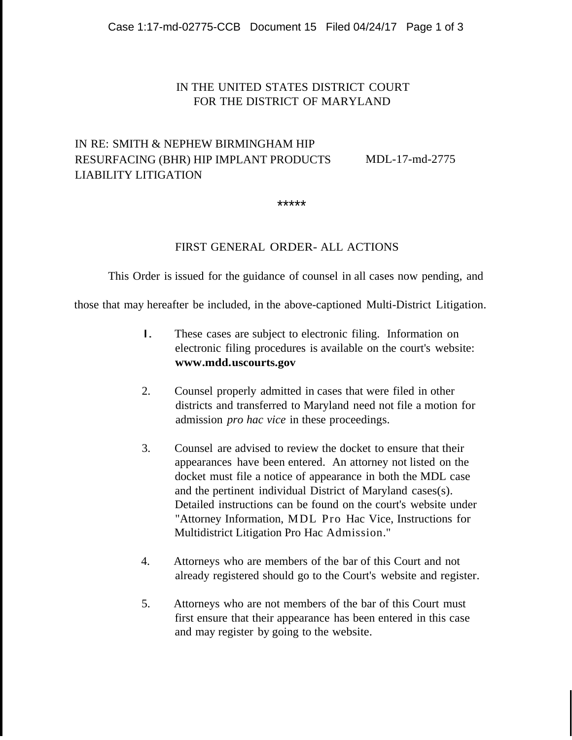## IN THE UNITED STATES DISTRICT COURT FOR THE DISTRICT OF MARYLAND

## IN RE: SMITH & NEPHEW BIRMINGHAM HIP RESURFACING (BHR) HIP IMPLANT PRODUCTS LIABILITY LITIGATION

MDL-17-md-2775

\*\*\*\*\*

## FIRST GENERAL ORDER- ALL ACTIONS

This Order is issued for the guidance of counsel in all cases now pending, and

those that may hereafter be included, in the above-captioned Multi-District Litigation.

- I. These cases are subject to electronic filing. Information on electronic filing procedures is available on the court's website: **www.mdd.uscourts.gov**
- 2. Counsel properly admitted in cases that were filed in other districts and transferred to Maryland need not file a motion for admission *pro hac vice* in these proceedings.
- 3. Counsel are advised to review the docket to ensure that their appearances have been entered. An attorney not listed on the docket must file a notice of appearance in both the MDL case and the pertinent individual District of Maryland cases(s). Detailed instructions can be found on the court's website under "Attorney Information, MDL Pro Hac Vice, Instructions for Multidistrict Litigation Pro Hac Admission."
- 4. Attorneys who are members of the bar of this Court and not already registered should go to the Court's website and register.
- 5. Attorneys who are not members of the bar of this Court must first ensure that their appearance has been entered in this case and may register by going to the website.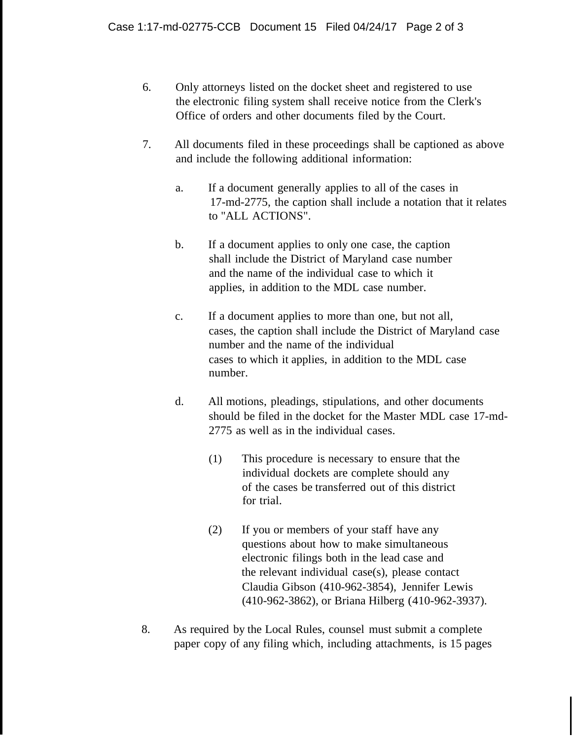- 6. Only attorneys listed on the docket sheet and registered to use the electronic filing system shall receive notice from the Clerk's Office of orders and other documents filed by the Court.
- 7. All documents filed in these proceedings shall be captioned as above and include the following additional information:
	- a. If a document generally applies to all of the cases in 17-md-2775, the caption shall include a notation that it relates to "ALL ACTIONS".
	- b. If a document applies to only one case, the caption shall include the District of Maryland case number and the name of the individual case to which it applies, in addition to the MDL case number.
	- c. If a document applies to more than one, but not all, cases, the caption shall include the District of Maryland case number and the name of the individual cases to which it applies, in addition to the MDL case number.
	- d. All motions, pleadings, stipulations, and other documents should be filed in the docket for the Master MDL case 17-md-2775 as well as in the individual cases.
		- (1) This procedure is necessary to ensure that the individual dockets are complete should any of the cases be transferred out of this district for trial.
		- (2) If you or members of your staff have any questions about how to make simultaneous electronic filings both in the lead case and the relevant individual case(s), please contact Claudia Gibson (410-962-3854), Jennifer Lewis (410-962-3862), or Briana Hilberg (410-962-3937).
- 8. As required by the Local Rules, counsel must submit a complete paper copy of any filing which, including attachments, is 15 pages